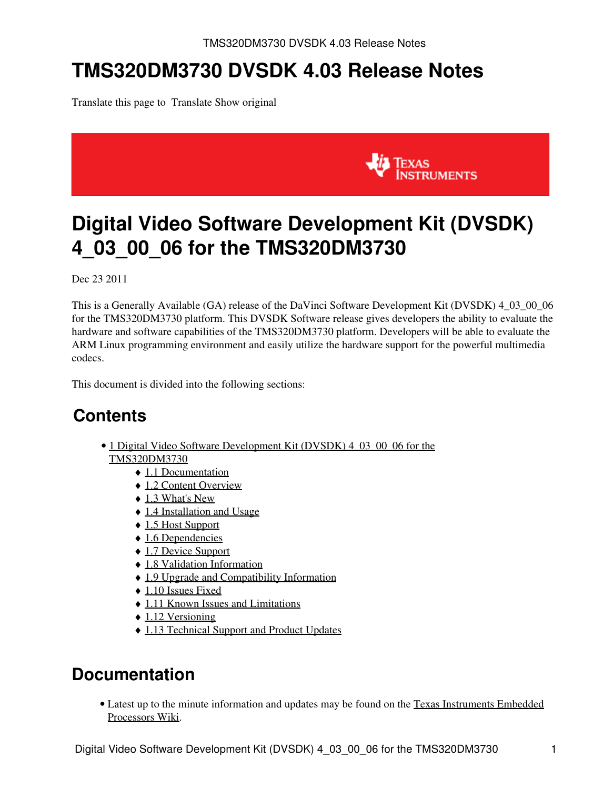# **TMS320DM3730 DVSDK 4.03 Release Notes**

Translate this page to Translate Show original



# <span id="page-0-0"></span>**Digital Video Software Development Kit (DVSDK) 4\_03\_00\_06 for the TMS320DM3730**

Dec 23 2011

This is a Generally Available (GA) release of the DaVinci Software Development Kit (DVSDK) 4\_03\_00\_06 for the TMS320DM3730 platform. This DVSDK Software release gives developers the ability to evaluate the hardware and software capabilities of the TMS320DM3730 platform. Developers will be able to evaluate the ARM Linux programming environment and easily utilize the hardware support for the powerful multimedia codecs.

This document is divided into the following sections:

# **Contents**

- 1 Digital Video Software Development Kit (DVSDK) 4 03 00 06 for the [TMS320DM3730](#page-0-0)
	- ♦ [1.1 Documentation](#page-0-1)
	- ◆ [1.2 Content Overview](#page-1-0)
	- $\triangleleft$  [1.3 What's New](#page-1-1)
	- ♦ [1.4 Installation and Usage](#page-2-0)
	- ♦ [1.5 Host Support](#page-2-1)
	- ◆ [1.6 Dependencies](#page-2-2)
	- ♦ [1.7 Device Support](#page-2-3)
	- ♦ [1.8 Validation Information](#page-2-4)
	- ♦ [1.9 Upgrade and Compatibility Information](#page-2-5)
	- ◆ [1.10 Issues Fixed](#page-2-6)
	- ♦ [1.11 Known Issues and Limitations](#page-2-7)
	- $\triangle$  [1.12 Versioning](#page-3-0)
	- ♦ [1.13 Technical Support and Product Updates](#page-3-1)

#### <span id="page-0-1"></span>**Documentation**

• Latest up to the minute information and updates may be found on the [Texas Instruments Embedded](http://processors.wiki.ti.com/index.php/Main_Page) [Processors Wiki.](http://processors.wiki.ti.com/index.php/Main_Page)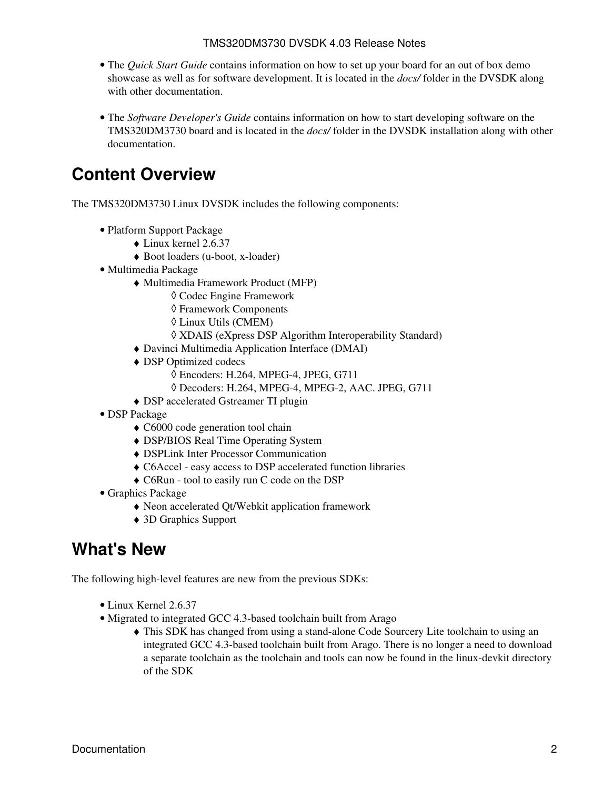- The *Quick Start Guide* contains information on how to set up your board for an out of box demo showcase as well as for software development. It is located in the *docs/* folder in the DVSDK along with other documentation.
- The *Software Developer's Guide* contains information on how to start developing software on the TMS320DM3730 board and is located in the *docs/* folder in the DVSDK installation along with other documentation.

### <span id="page-1-0"></span>**Content Overview**

The TMS320DM3730 Linux DVSDK includes the following components:

- Platform Support Package
	- $\bullet$  Linux kernel 2.6.37
	- ♦ Boot loaders (u-boot, x-loader)
- Multimedia Package
	- Multimedia Framework Product (MFP) ♦
		- ◊ Codec Engine Framework
		- ◊ Framework Components
		- ◊ Linux Utils (CMEM)
		- ◊ XDAIS (eXpress DSP Algorithm Interoperability Standard)
	- ♦ Davinci Multimedia Application Interface (DMAI)
	- DSP Optimized codecs ♦
		- ◊ Encoders: H.264, MPEG-4, JPEG, G711
		- ◊ Decoders: H.264, MPEG-4, MPEG-2, AAC. JPEG, G711
	- ♦ DSP accelerated Gstreamer TI plugin
- DSP Package
	- ♦ C6000 code generation tool chain
	- ♦ DSP/BIOS Real Time Operating System
	- ♦ DSPLink Inter Processor Communication
	- ♦ C6Accel easy access to DSP accelerated function libraries
	- ♦ C6Run tool to easily run C code on the DSP
- Graphics Package
	- ♦ Neon accelerated Qt/Webkit application framework
	- ♦ 3D Graphics Support

#### <span id="page-1-1"></span>**What's New**

The following high-level features are new from the previous SDKs:

- Linux Kernel 2.6.37
- Migrated to integrated GCC 4.3-based toolchain built from Arago
	- This SDK has changed from using a stand-alone Code Sourcery Lite toolchain to using an ♦ integrated GCC 4.3-based toolchain built from Arago. There is no longer a need to download a separate toolchain as the toolchain and tools can now be found in the linux-devkit directory of the SDK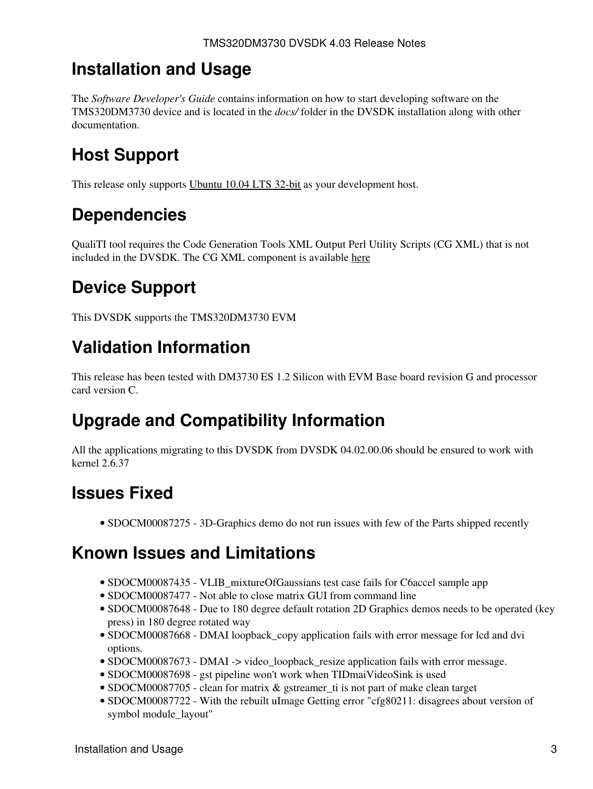### <span id="page-2-0"></span>**Installation and Usage**

The *Software Developer's Guide* contains information on how to start developing software on the TMS320DM3730 device and is located in the *docs/* folder in the DVSDK installation along with other documentation.

# <span id="page-2-1"></span>**Host Support**

This release only supports [Ubuntu 10.04 LTS 32-bit](http://www.ubuntu.com) as your development host.

## <span id="page-2-2"></span>**Dependencies**

QualiTI tool requires the Code Generation Tools XML Output Perl Utility Scripts (CG XML) that is not included in the DVSDK. The CG XML component is available [here](https://www-a.ti.com/downloads/sds_support/applications_packages/cg_xml/index.htm)

# <span id="page-2-3"></span>**Device Support**

This DVSDK supports the TMS320DM3730 EVM

# <span id="page-2-4"></span>**Validation Information**

This release has been tested with DM3730 ES 1.2 Silicon with EVM Base board revision G and processor card version C.

# <span id="page-2-5"></span>**Upgrade and Compatibility Information**

All the applications migrating to this DVSDK from DVSDK 04.02.00.06 should be ensured to work with kernel 2.6.37

# <span id="page-2-6"></span>**Issues Fixed**

• SDOCM00087275 - 3D-Graphics demo do not run issues with few of the Parts shipped recently

## <span id="page-2-7"></span>**Known Issues and Limitations**

- SDOCM00087435 VLIB mixtureOfGaussians test case fails for C6accel sample app
- SDOCM00087477 Not able to close matrix GUI from command line
- SDOCM00087648 Due to 180 degree default rotation 2D Graphics demos needs to be operated (key press) in 180 degree rotated way
- SDOCM00087668 DMAI loopback\_copy application fails with error message for lcd and dvi options.
- SDOCM00087673 DMAI -> video\_loopback\_resize application fails with error message.
- SDOCM00087698 gst pipeline won't work when TIDmaiVideoSink is used
- SDOCM00087705 clean for matrix & gstreamer\_ti is not part of make clean target
- SDOCM00087722 With the rebuilt uImage Getting error "cfg80211: disagrees about version of symbol module\_layout"